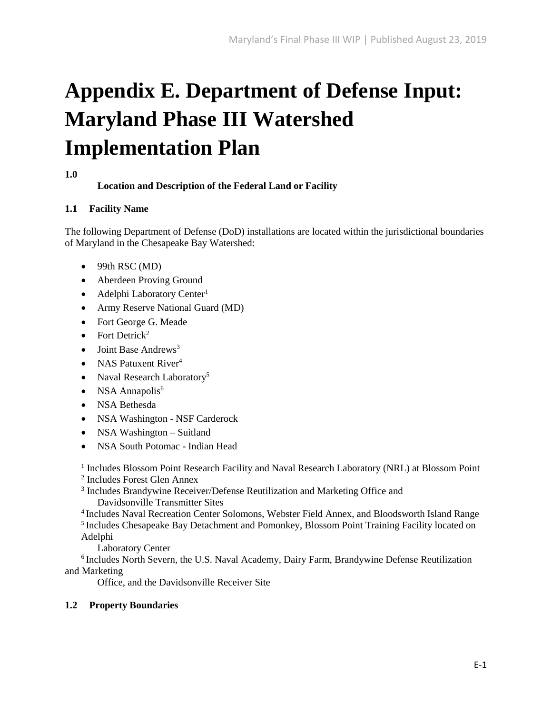# **Appendix E. Department of Defense Input: Maryland Phase III Watershed Implementation Plan**

## **1.0**

## **Location and Description of the Federal Land or Facility**

## **1.1 Facility Name**

The following Department of Defense (DoD) installations are located within the jurisdictional boundaries of Maryland in the Chesapeake Bay Watershed:

- $\bullet$  99th RSC (MD)
- Aberdeen Proving Ground
- Adelphi Laboratory Center<sup>1</sup>
- Army Reserve National Guard (MD)
- Fort George G. Meade
- Fort Detrick<sup>2</sup>
- $\bullet$  Joint Base Andrews<sup>3</sup>
- NAS Patuxent River $4$
- Naval Research Laboratory<sup>5</sup>
- NSA Annapolis<sup>6</sup>
- NSA Bethesda
- NSA Washington NSF Carderock
- NSA Washington Suitland
- NSA South Potomac Indian Head

<sup>1</sup> Includes Blossom Point Research Facility and Naval Research Laboratory (NRL) at Blossom Point

2 Includes Forest Glen Annex

<sup>3</sup> Includes Brandywine Receiver/Defense Reutilization and Marketing Office and Davidsonville Transmitter Sites

<sup>4</sup>Includes Naval Recreation Center Solomons, Webster Field Annex, and Bloodsworth Island Range <sup>5</sup> Includes Chesapeake Bay Detachment and Pomonkey, Blossom Point Training Facility located on Adelphi

Laboratory Center

 $6$ Includes North Severn, the U.S. Naval Academy, Dairy Farm, Brandywine Defense Reutilization and Marketing

Office, and the Davidsonville Receiver Site

## **1.2 Property Boundaries**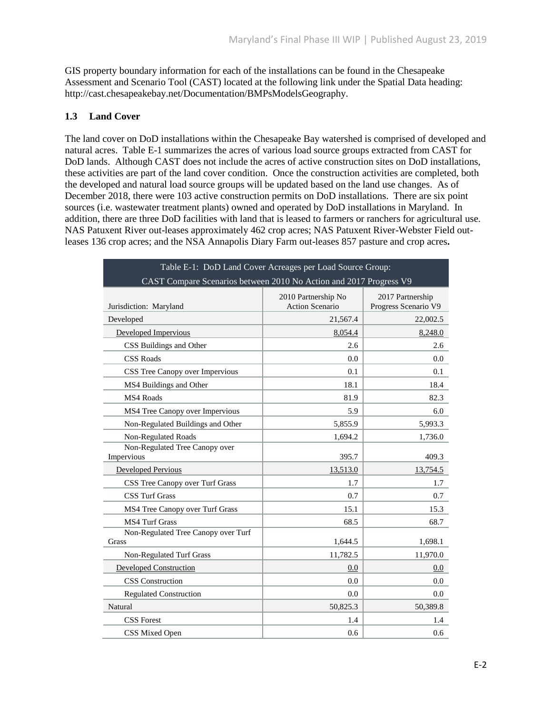GIS property boundary information for each of the installations can be found in the Chesapeake Assessment and Scenario Tool (CAST) located at the following link under the Spatial Data heading: http://cast.chesapeakebay.net/Documentation/BMPsModelsGeography.

## **1.3 Land Cover**

The land cover on DoD installations within the Chesapeake Bay watershed is comprised of developed and natural acres. Table E-1 summarizes the acres of various load source groups extracted from CAST for DoD lands. Although CAST does not include the acres of active construction sites on DoD installations, these activities are part of the land cover condition. Once the construction activities are completed, both the developed and natural load source groups will be updated based on the land use changes. As of December 2018, there were 103 active construction permits on DoD installations. There are six point sources (i.e. wastewater treatment plants) owned and operated by DoD installations in Maryland. In addition, there are three DoD facilities with land that is leased to farmers or ranchers for agricultural use. NAS Patuxent River out-leases approximately 462 crop acres; NAS Patuxent River-Webster Field outleases 136 crop acres; and the NSA Annapolis Diary Farm out-leases 857 pasture and crop acres**.** 

| Table E-1: DoD Land Cover Acreages per Load Source Group:          |                                               |                                          |  |  |  |
|--------------------------------------------------------------------|-----------------------------------------------|------------------------------------------|--|--|--|
| CAST Compare Scenarios between 2010 No Action and 2017 Progress V9 |                                               |                                          |  |  |  |
| Jurisdiction: Maryland                                             | 2010 Partnership No<br><b>Action Scenario</b> | 2017 Partnership<br>Progress Scenario V9 |  |  |  |
| Developed                                                          | 21,567.4                                      | 22,002.5                                 |  |  |  |
| Developed Impervious                                               | 8,054.4                                       | 8,248.0                                  |  |  |  |
| CSS Buildings and Other                                            | 2.6                                           | 2.6                                      |  |  |  |
| <b>CSS Roads</b>                                                   | 0.0                                           | 0.0                                      |  |  |  |
| CSS Tree Canopy over Impervious                                    | 0.1                                           | 0.1                                      |  |  |  |
| MS4 Buildings and Other                                            | 18.1                                          | 18.4                                     |  |  |  |
| MS4 Roads                                                          | 81.9                                          | 82.3                                     |  |  |  |
| MS4 Tree Canopy over Impervious                                    | 5.9                                           | 6.0                                      |  |  |  |
| Non-Regulated Buildings and Other                                  | 5,855.9                                       | 5,993.3                                  |  |  |  |
| <b>Non-Regulated Roads</b>                                         | 1,694.2                                       | 1,736.0                                  |  |  |  |
| Non-Regulated Tree Canopy over<br>Impervious                       | 395.7                                         | 409.3                                    |  |  |  |
| <b>Developed Pervious</b>                                          | 13,513.0                                      | 13.754.5                                 |  |  |  |
| CSS Tree Canopy over Turf Grass                                    | 1.7                                           | 1.7                                      |  |  |  |
| <b>CSS Turf Grass</b>                                              | 0.7                                           | 0.7                                      |  |  |  |
| MS4 Tree Canopy over Turf Grass                                    | 15.1                                          | 15.3                                     |  |  |  |
| <b>MS4 Turf Grass</b>                                              | 68.5                                          | 68.7                                     |  |  |  |
| Non-Regulated Tree Canopy over Turf<br>Grass                       | 1,644.5                                       | 1,698.1                                  |  |  |  |
| Non-Regulated Turf Grass                                           | 11,782.5                                      | 11,970.0                                 |  |  |  |
| <b>Developed Construction</b>                                      | 0.0                                           | 0.0                                      |  |  |  |
| <b>CSS</b> Construction                                            | 0.0                                           | 0.0                                      |  |  |  |
| <b>Regulated Construction</b>                                      | 0.0                                           | 0.0                                      |  |  |  |
| Natural                                                            | 50,825.3                                      | 50,389.8                                 |  |  |  |
| <b>CSS</b> Forest                                                  | 1.4                                           | 1.4                                      |  |  |  |
| CSS Mixed Open                                                     | 0.6                                           | 0.6                                      |  |  |  |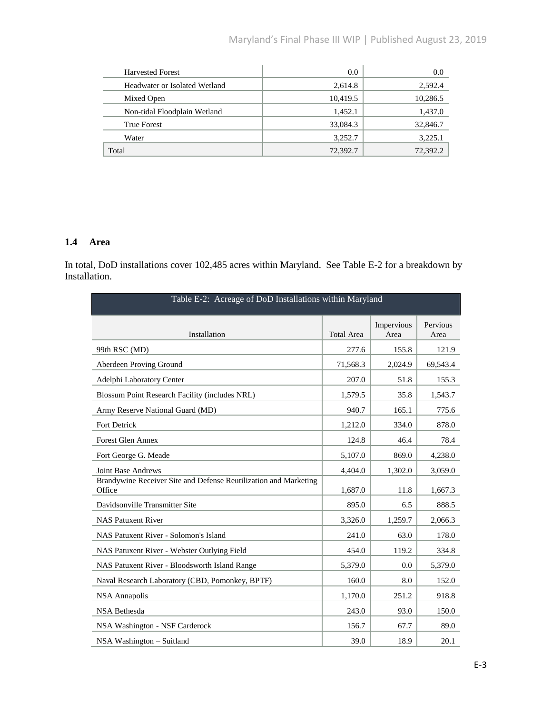| <b>Harvested Forest</b>       | 0.0      | 0.0      |
|-------------------------------|----------|----------|
| Headwater or Isolated Wetland | 2,614.8  | 2,592.4  |
| Mixed Open                    | 10,419.5 | 10,286.5 |
| Non-tidal Floodplain Wetland  | 1,452.1  | 1,437.0  |
| <b>True Forest</b>            | 33,084.3 | 32,846.7 |
| Water                         | 3,252.7  | 3,225.1  |
| Total                         | 72,392.7 | 72,392.2 |

## **1.4 Area**

In total, DoD installations cover 102,485 acres within Maryland. See Table E-2 for a breakdown by Installation.

| Table E-2: Acreage of DoD Installations within Maryland                    |                   |                    |                  |  |
|----------------------------------------------------------------------------|-------------------|--------------------|------------------|--|
| Installation                                                               | <b>Total Area</b> | Impervious<br>Area | Pervious<br>Area |  |
| 99th RSC (MD)                                                              | 277.6             | 155.8              | 121.9            |  |
| Aberdeen Proving Ground                                                    | 71,568.3          | 2,024.9            | 69,543.4         |  |
| Adelphi Laboratory Center                                                  | 207.0             | 51.8               | 155.3            |  |
| Blossum Point Research Facility (includes NRL)                             | 1,579.5           | 35.8               | 1,543.7          |  |
| Army Reserve National Guard (MD)                                           | 940.7             | 165.1              | 775.6            |  |
| <b>Fort Detrick</b>                                                        | 1,212.0           | 334.0              | 878.0            |  |
| <b>Forest Glen Annex</b>                                                   | 124.8             | 46.4               | 78.4             |  |
| Fort George G. Meade                                                       | 5,107.0           | 869.0              | 4,238.0          |  |
| <b>Joint Base Andrews</b>                                                  | 4,404.0           | 1,302.0            | 3,059.0          |  |
| Brandywine Receiver Site and Defense Reutilization and Marketing<br>Office | 1,687.0           | 11.8               | 1,667.3          |  |
| Davidsonville Transmitter Site                                             | 895.0             | 6.5                | 888.5            |  |
| <b>NAS Patuxent River</b>                                                  | 3,326.0           | 1,259.7            | 2,066.3          |  |
| NAS Patuxent River - Solomon's Island                                      | 241.0             | 63.0               | 178.0            |  |
| NAS Patuxent River - Webster Outlying Field                                | 454.0             | 119.2              | 334.8            |  |
| NAS Patuxent River - Bloodsworth Island Range                              | 5,379.0           | 0.0                | 5,379.0          |  |
| Naval Research Laboratory (CBD, Pomonkey, BPTF)                            | 160.0             | 8.0                | 152.0            |  |
| NSA Annapolis                                                              | 1,170.0           | 251.2              | 918.8            |  |
| <b>NSA Bethesda</b>                                                        | 243.0             | 93.0               | 150.0            |  |
| NSA Washington - NSF Carderock                                             | 156.7             | 67.7               | 89.0             |  |
| NSA Washington - Suitland                                                  | 39.0              | 18.9               | 20.1             |  |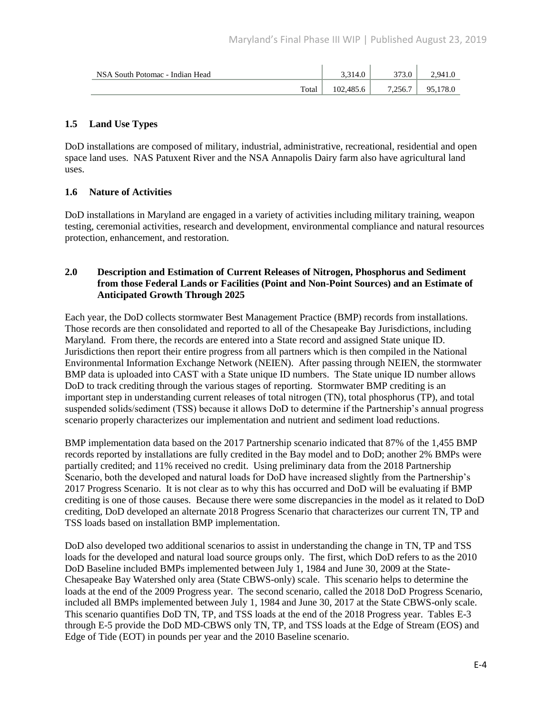| NSA South Potomac - Indian Head | 3.314.0   | 2720    | $2.941_{\cdot}$ |
|---------------------------------|-----------|---------|-----------------|
| Total                           | 102,485.6 | 7.256.7 | 178.0<br>о<     |

## **1.5 Land Use Types**

DoD installations are composed of military, industrial, administrative, recreational, residential and open space land uses. NAS Patuxent River and the NSA Annapolis Dairy farm also have agricultural land uses.

## **1.6 Nature of Activities**

DoD installations in Maryland are engaged in a variety of activities including military training, weapon testing, ceremonial activities, research and development, environmental compliance and natural resources protection, enhancement, and restoration.

#### **2.0 Description and Estimation of Current Releases of Nitrogen, Phosphorus and Sediment from those Federal Lands or Facilities (Point and Non-Point Sources) and an Estimate of Anticipated Growth Through 2025**

Each year, the DoD collects stormwater Best Management Practice (BMP) records from installations. Those records are then consolidated and reported to all of the Chesapeake Bay Jurisdictions, including Maryland. From there, the records are entered into a State record and assigned State unique ID. Jurisdictions then report their entire progress from all partners which is then compiled in the National Environmental Information Exchange Network (NEIEN). After passing through NEIEN, the stormwater BMP data is uploaded into CAST with a State unique ID numbers. The State unique ID number allows DoD to track crediting through the various stages of reporting. Stormwater BMP crediting is an important step in understanding current releases of total nitrogen (TN), total phosphorus (TP), and total suspended solids/sediment (TSS) because it allows DoD to determine if the Partnership's annual progress scenario properly characterizes our implementation and nutrient and sediment load reductions.

BMP implementation data based on the 2017 Partnership scenario indicated that 87% of the 1,455 BMP records reported by installations are fully credited in the Bay model and to DoD; another 2% BMPs were partially credited; and 11% received no credit. Using preliminary data from the 2018 Partnership Scenario, both the developed and natural loads for DoD have increased slightly from the Partnership's 2017 Progress Scenario. It is not clear as to why this has occurred and DoD will be evaluating if BMP crediting is one of those causes. Because there were some discrepancies in the model as it related to DoD crediting, DoD developed an alternate 2018 Progress Scenario that characterizes our current TN, TP and TSS loads based on installation BMP implementation.

DoD also developed two additional scenarios to assist in understanding the change in TN, TP and TSS loads for the developed and natural load source groups only. The first, which DoD refers to as the 2010 DoD Baseline included BMPs implemented between July 1, 1984 and June 30, 2009 at the State-Chesapeake Bay Watershed only area (State CBWS-only) scale. This scenario helps to determine the loads at the end of the 2009 Progress year. The second scenario, called the 2018 DoD Progress Scenario, included all BMPs implemented between July 1, 1984 and June 30, 2017 at the State CBWS-only scale. This scenario quantifies DoD TN, TP, and TSS loads at the end of the 2018 Progress year. Tables E-3 through E-5 provide the DoD MD-CBWS only TN, TP, and TSS loads at the Edge of Stream (EOS) and Edge of Tide (EOT) in pounds per year and the 2010 Baseline scenario.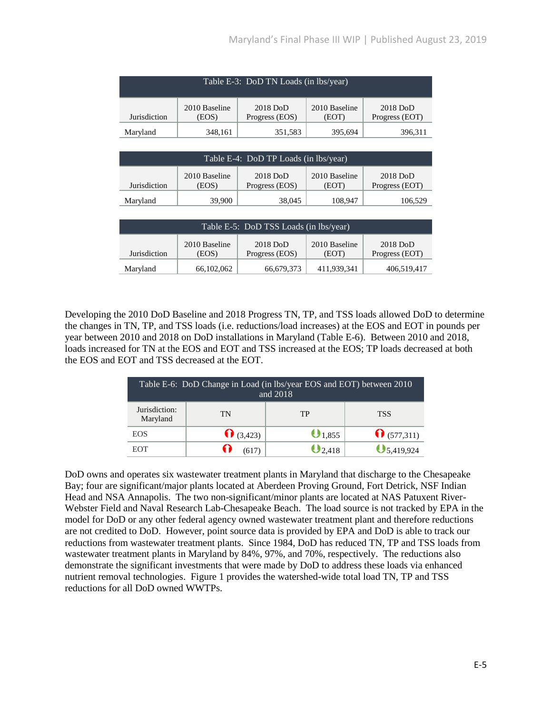| Table E-3: DoD TN Loads (in lbs/year)                                                                                            |  |  |  |  |  |  |
|----------------------------------------------------------------------------------------------------------------------------------|--|--|--|--|--|--|
| 2010 Baseline<br>2010 Baseline<br>$2018$ DoD<br>$2018$ DoD<br>Jurisdiction<br>Progress (EOS)<br>Progress (EOT)<br>(EOS)<br>(EOT) |  |  |  |  |  |  |
| 395,694<br>Maryland<br>351,583<br>348,161<br>396,311                                                                             |  |  |  |  |  |  |

| Table E-4: DoD TP Loads (in lbs/year)                                                                                            |        |        |         |         |  |
|----------------------------------------------------------------------------------------------------------------------------------|--------|--------|---------|---------|--|
| 2010 Baseline<br>2010 Baseline<br>$2018$ DoD<br>$2018$ DoD<br>Jurisdiction<br>Progress (EOS)<br>Progress (EOT)<br>(EOS)<br>(EOT) |        |        |         |         |  |
| Maryland                                                                                                                         | 39,900 | 38,045 | 108,947 | 106,529 |  |

| Table E-5: DoD TSS Loads (in lbs/year)                                                                                           |            |            |             |             |  |
|----------------------------------------------------------------------------------------------------------------------------------|------------|------------|-------------|-------------|--|
| 2010 Baseline<br>$2018$ DoD<br>2010 Baseline<br>$2018$ DoD<br>Jurisdiction<br>Progress (EOS)<br>Progress (EOT)<br>(EOS)<br>(EOT) |            |            |             |             |  |
| Maryland                                                                                                                         | 66,102,062 | 66,679,373 | 411,939,341 | 406,519,417 |  |

Developing the 2010 DoD Baseline and 2018 Progress TN, TP, and TSS loads allowed DoD to determine the changes in TN, TP, and TSS loads (i.e. reductions/load increases) at the EOS and EOT in pounds per year between 2010 and 2018 on DoD installations in Maryland (Table E-6). Between 2010 and 2018, loads increased for TN at the EOS and EOT and TSS increased at the EOS; TP loads decreased at both the EOS and EOT and TSS decreased at the EOT.

| Table E-6: DoD Change in Load (in lbs/year EOS and EOT) between 2010<br>and 2018 |                   |             |                     |  |  |  |
|----------------------------------------------------------------------------------|-------------------|-------------|---------------------|--|--|--|
| Jurisdiction:<br>Maryland                                                        | <b>TSS</b>        |             |                     |  |  |  |
| <b>EOS</b>                                                                       | $\bigcap (3,423)$ | $0_{1,855}$ | $\bigcap (577,311)$ |  |  |  |
| EOT                                                                              | (617)             | $Q2,418$    | $\bigcup$ 5,419,924 |  |  |  |

DoD owns and operates six wastewater treatment plants in Maryland that discharge to the Chesapeake Bay; four are significant/major plants located at Aberdeen Proving Ground, Fort Detrick, NSF Indian Head and NSA Annapolis. The two non-significant/minor plants are located at NAS Patuxent River-Webster Field and Naval Research Lab-Chesapeake Beach. The load source is not tracked by EPA in the model for DoD or any other federal agency owned wastewater treatment plant and therefore reductions are not credited to DoD. However, point source data is provided by EPA and DoD is able to track our reductions from wastewater treatment plants. Since 1984, DoD has reduced TN, TP and TSS loads from wastewater treatment plants in Maryland by 84%, 97%, and 70%, respectively. The reductions also demonstrate the significant investments that were made by DoD to address these loads via enhanced nutrient removal technologies. Figure 1 provides the watershed-wide total load TN, TP and TSS reductions for all DoD owned WWTPs.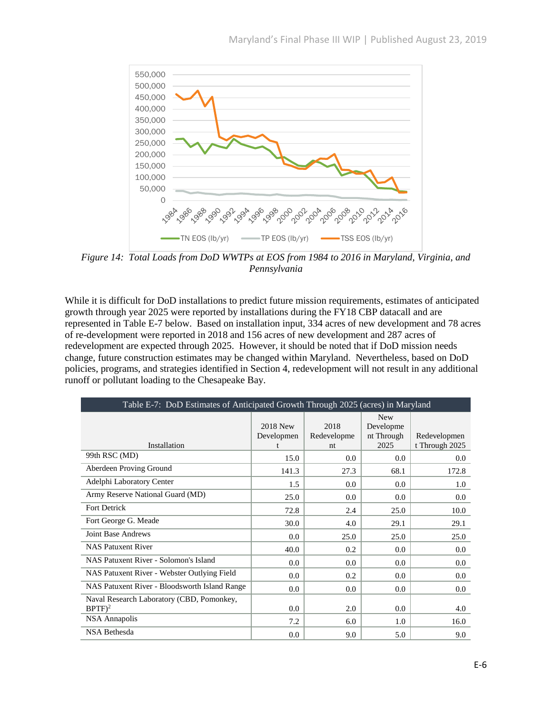

*Figure 14: Total Loads from DoD WWTPs at EOS from 1984 to 2016 in Maryland, Virginia, and Pennsylvania*

While it is difficult for DoD installations to predict future mission requirements, estimates of anticipated growth through year 2025 were reported by installations during the FY18 CBP datacall and are represented in Table E-7 below. Based on installation input, 334 acres of new development and 78 acres of re-development were reported in 2018 and 156 acres of new development and 287 acres of redevelopment are expected through 2025. However, it should be noted that if DoD mission needs change, future construction estimates may be changed within Maryland. Nevertheless, based on DoD policies, programs, and strategies identified in Section 4, redevelopment will not result in any additional runoff or pollutant loading to the Chesapeake Bay.

| Table E-7: DoD Estimates of Anticipated Growth Through 2025 (acres) in Maryland |                        |                           |                                               |                                |  |
|---------------------------------------------------------------------------------|------------------------|---------------------------|-----------------------------------------------|--------------------------------|--|
| Installation                                                                    | 2018 New<br>Developmen | 2018<br>Redevelopme<br>nt | <b>New</b><br>Developme<br>nt Through<br>2025 | Redevelopmen<br>t Through 2025 |  |
| 99th RSC (MD)                                                                   | 15.0                   | 0.0                       | 0.0                                           | 0.0                            |  |
| Aberdeen Proving Ground                                                         | 141.3                  | 27.3                      | 68.1                                          | 172.8                          |  |
| Adelphi Laboratory Center                                                       | 1.5                    | 0.0                       | 0.0                                           | 1.0                            |  |
| Army Reserve National Guard (MD)                                                | 25.0                   | 0.0                       | 0.0                                           | 0.0                            |  |
| Fort Detrick                                                                    | 72.8                   | 2.4                       | 25.0                                          | 10.0                           |  |
| Fort George G. Meade                                                            | 30.0                   | 4.0                       | 29.1                                          | 29.1                           |  |
| <b>Joint Base Andrews</b>                                                       | 0.0                    | 25.0                      | 25.0                                          | 25.0                           |  |
| <b>NAS Patuxent River</b>                                                       | 40.0                   | 0.2                       | 0.0                                           | 0.0                            |  |
| NAS Patuxent River - Solomon's Island                                           | 0.0                    | 0.0                       | 0.0                                           | 0.0                            |  |
| NAS Patuxent River - Webster Outlying Field                                     | 0.0                    | 0.2                       | 0.0                                           | 0.0                            |  |
| NAS Patuxent River - Bloodsworth Island Range                                   | 0.0                    | 0.0                       | 0.0                                           | 0.0                            |  |
| Naval Research Laboratory (CBD, Pomonkey,<br>$BPTF)^2$                          | 0.0                    | 2.0                       | 0.0                                           | 4.0                            |  |
| <b>NSA</b> Annapolis                                                            | 7.2                    | 6.0                       | 1.0                                           | 16.0                           |  |
| <b>NSA Bethesda</b>                                                             | 0.0                    | 9.0                       | 5.0                                           | 9.0                            |  |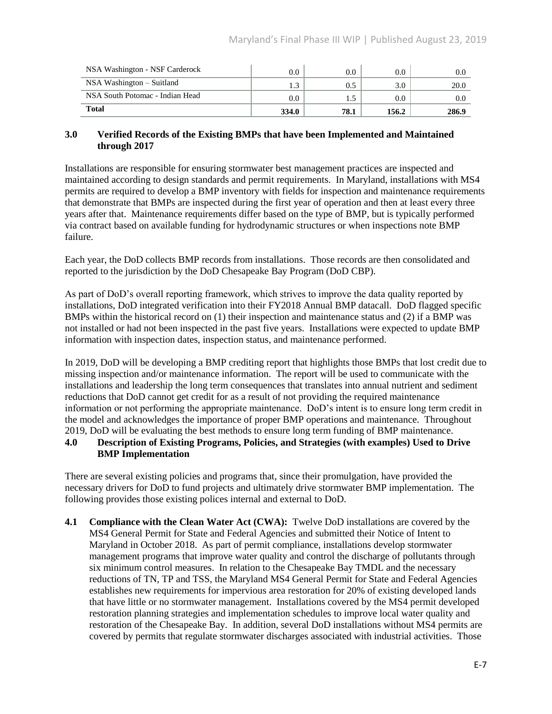| NSA Washington - NSF Carderock  | $0.0\,$          | $0.0\,$ | 0.0     | 0.0           |
|---------------------------------|------------------|---------|---------|---------------|
| $NSA$ Washington $-$ Suitland   |                  | 0.5     | 3.0     | 20.0          |
| NSA South Potomac - Indian Head | 0.0 <sub>1</sub> |         | $0.0\,$ | $0.0^{\circ}$ |
| Total                           | 334.0            | 78.1    | 156.2   | 286.9         |

#### **3.0 Verified Records of the Existing BMPs that have been Implemented and Maintained through 2017**

Installations are responsible for ensuring stormwater best management practices are inspected and maintained according to design standards and permit requirements. In Maryland, installations with MS4 permits are required to develop a BMP inventory with fields for inspection and maintenance requirements that demonstrate that BMPs are inspected during the first year of operation and then at least every three years after that. Maintenance requirements differ based on the type of BMP, but is typically performed via contract based on available funding for hydrodynamic structures or when inspections note BMP failure.

Each year, the DoD collects BMP records from installations. Those records are then consolidated and reported to the jurisdiction by the DoD Chesapeake Bay Program (DoD CBP).

As part of DoD's overall reporting framework, which strives to improve the data quality reported by installations, DoD integrated verification into their FY2018 Annual BMP datacall. DoD flagged specific BMPs within the historical record on (1) their inspection and maintenance status and (2) if a BMP was not installed or had not been inspected in the past five years. Installations were expected to update BMP information with inspection dates, inspection status, and maintenance performed.

In 2019, DoD will be developing a BMP crediting report that highlights those BMPs that lost credit due to missing inspection and/or maintenance information. The report will be used to communicate with the installations and leadership the long term consequences that translates into annual nutrient and sediment reductions that DoD cannot get credit for as a result of not providing the required maintenance information or not performing the appropriate maintenance. DoD's intent is to ensure long term credit in the model and acknowledges the importance of proper BMP operations and maintenance. Throughout 2019, DoD will be evaluating the best methods to ensure long term funding of BMP maintenance.

## **4.0 Description of Existing Programs, Policies, and Strategies (with examples) Used to Drive BMP Implementation**

There are several existing policies and programs that, since their promulgation, have provided the necessary drivers for DoD to fund projects and ultimately drive stormwater BMP implementation. The following provides those existing polices internal and external to DoD.

**4.1 Compliance with the Clean Water Act (CWA):** Twelve DoD installations are covered by the MS4 General Permit for State and Federal Agencies and submitted their Notice of Intent to Maryland in October 2018. As part of permit compliance, installations develop stormwater management programs that improve water quality and control the discharge of pollutants through six minimum control measures. In relation to the Chesapeake Bay TMDL and the necessary reductions of TN, TP and TSS, the Maryland MS4 General Permit for State and Federal Agencies establishes new requirements for impervious area restoration for 20% of existing developed lands that have little or no stormwater management. Installations covered by the MS4 permit developed restoration planning strategies and implementation schedules to improve local water quality and restoration of the Chesapeake Bay. In addition, several DoD installations without MS4 permits are covered by permits that regulate stormwater discharges associated with industrial activities. Those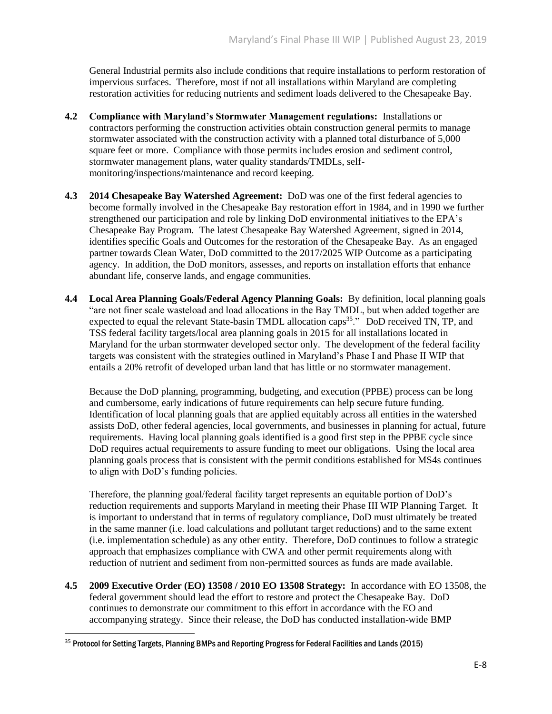General Industrial permits also include conditions that require installations to perform restoration of impervious surfaces. Therefore, most if not all installations within Maryland are completing restoration activities for reducing nutrients and sediment loads delivered to the Chesapeake Bay.

- **4.2 Compliance with Maryland's Stormwater Management regulations:** Installations or contractors performing the construction activities obtain construction general permits to manage stormwater associated with the construction activity with a planned total disturbance of 5,000 square feet or more. Compliance with those permits includes erosion and sediment control, stormwater management plans, water quality standards/TMDLs, selfmonitoring/inspections/maintenance and record keeping.
- **4.3 2014 Chesapeake Bay Watershed Agreement:** DoD was one of the first federal agencies to become formally involved in the Chesapeake Bay restoration effort in 1984, and in 1990 we further strengthened our participation and role by linking DoD environmental initiatives to the EPA's Chesapeake Bay Program. The latest Chesapeake Bay Watershed Agreement, signed in 2014, identifies specific Goals and Outcomes for the restoration of the Chesapeake Bay. As an engaged partner towards Clean Water, DoD committed to the 2017/2025 WIP Outcome as a participating agency. In addition, the DoD monitors, assesses, and reports on installation efforts that enhance abundant life, conserve lands, and engage communities.
- **4.4 Local Area Planning Goals/Federal Agency Planning Goals:** By definition, local planning goals "are not finer scale wasteload and load allocations in the Bay TMDL, but when added together are expected to equal the relevant State-basin TMDL allocation caps<sup>35</sup>." DoD received TN, TP, and TSS federal facility targets/local area planning goals in 2015 for all installations located in Maryland for the urban stormwater developed sector only. The development of the federal facility targets was consistent with the strategies outlined in Maryland's Phase I and Phase II WIP that entails a 20% retrofit of developed urban land that has little or no stormwater management.

Because the DoD planning, programming, budgeting, and execution (PPBE) process can be long and cumbersome, early indications of future requirements can help secure future funding. Identification of local planning goals that are applied equitably across all entities in the watershed assists DoD, other federal agencies, local governments, and businesses in planning for actual, future requirements. Having local planning goals identified is a good first step in the PPBE cycle since DoD requires actual requirements to assure funding to meet our obligations. Using the local area planning goals process that is consistent with the permit conditions established for MS4s continues to align with DoD's funding policies.

Therefore, the planning goal/federal facility target represents an equitable portion of DoD's reduction requirements and supports Maryland in meeting their Phase III WIP Planning Target. It is important to understand that in terms of regulatory compliance, DoD must ultimately be treated in the same manner (i.e. load calculations and pollutant target reductions) and to the same extent (i.e. implementation schedule) as any other entity. Therefore, DoD continues to follow a strategic approach that emphasizes compliance with CWA and other permit requirements along with reduction of nutrient and sediment from non-permitted sources as funds are made available.

**4.5 2009 Executive Order (EO) 13508 / 2010 EO 13508 Strategy:** In accordance with EO 13508, the federal government should lead the effort to restore and protect the Chesapeake Bay. DoD continues to demonstrate our commitment to this effort in accordance with the EO and accompanying strategy. Since their release, the DoD has conducted installation-wide BMP

 $\overline{\phantom{a}}$ 

<sup>35</sup> Protocol for Setting Targets, Planning BMPs and Reporting Progress for Federal Facilities and Lands (2015)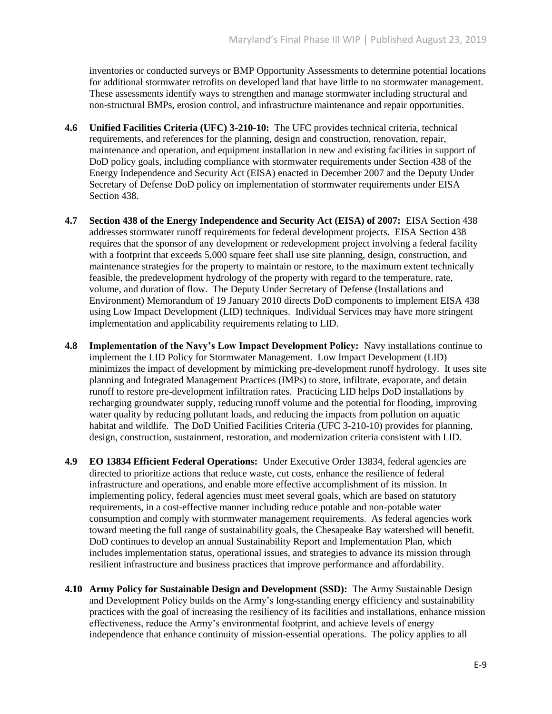inventories or conducted surveys or BMP Opportunity Assessments to determine potential locations for additional stormwater retrofits on developed land that have little to no stormwater management. These assessments identify ways to strengthen and manage stormwater including structural and non-structural BMPs, erosion control, and infrastructure maintenance and repair opportunities.

- **4.6 Unified Facilities Criteria (UFC) 3-210-10:** The UFC provides technical criteria, technical requirements, and references for the planning, design and construction, renovation, repair, maintenance and operation, and equipment installation in new and existing facilities in support of DoD policy goals, including compliance with stormwater requirements under Section 438 of the Energy Independence and Security Act (EISA) enacted in December 2007 and the Deputy Under Secretary of Defense DoD policy on implementation of stormwater requirements under EISA Section 438.
- **4.7 Section 438 of the Energy Independence and Security Act (EISA) of 2007:** EISA Section 438 addresses stormwater runoff requirements for federal development projects. EISA Section 438 requires that the sponsor of any development or redevelopment project involving a federal facility with a footprint that exceeds 5,000 square feet shall use site planning, design, construction, and maintenance strategies for the property to maintain or restore, to the maximum extent technically feasible, the predevelopment hydrology of the property with regard to the temperature, rate, volume, and duration of flow. The Deputy Under Secretary of Defense (Installations and Environment) Memorandum of 19 January 2010 directs DoD components to implement EISA 438 using Low Impact Development (LID) techniques. Individual Services may have more stringent implementation and applicability requirements relating to LID.
- **4.8 Implementation of the Navy's Low Impact Development Policy:** Navy installations continue to implement the LID Policy for Stormwater Management. Low Impact Development (LID) minimizes the impact of development by mimicking pre-development runoff hydrology. It uses site planning and Integrated Management Practices (IMPs) to store, infiltrate, evaporate, and detain runoff to restore pre-development infiltration rates. Practicing LID helps DoD installations by recharging groundwater supply, reducing runoff volume and the potential for flooding, improving water quality by reducing pollutant loads, and reducing the impacts from pollution on aquatic habitat and wildlife. The DoD Unified Facilities Criteria (UFC 3-210-10) provides for planning, design, construction, sustainment, restoration, and modernization criteria consistent with LID.
- **4.9 EO 13834 Efficient Federal Operations:** Under Executive Order 13834, federal agencies are directed to prioritize actions that reduce waste, cut costs, enhance the resilience of federal infrastructure and operations, and enable more effective accomplishment of its mission. In implementing policy, federal agencies must meet several goals, which are based on statutory requirements, in a cost-effective manner including reduce potable and non-potable water consumption and comply with stormwater management requirements. As federal agencies work toward meeting the full range of sustainability goals, the Chesapeake Bay watershed will benefit. DoD continues to develop an annual Sustainability Report and Implementation Plan, which includes implementation status, operational issues, and strategies to advance its mission through resilient infrastructure and business practices that improve performance and affordability.
- **4.10 Army Policy for Sustainable Design and Development (SSD):** The Army Sustainable Design and Development Policy builds on the Army's long-standing energy efficiency and sustainability practices with the goal of increasing the resiliency of its facilities and installations, enhance mission effectiveness, reduce the Army's environmental footprint, and achieve levels of energy independence that enhance continuity of mission-essential operations. The policy applies to all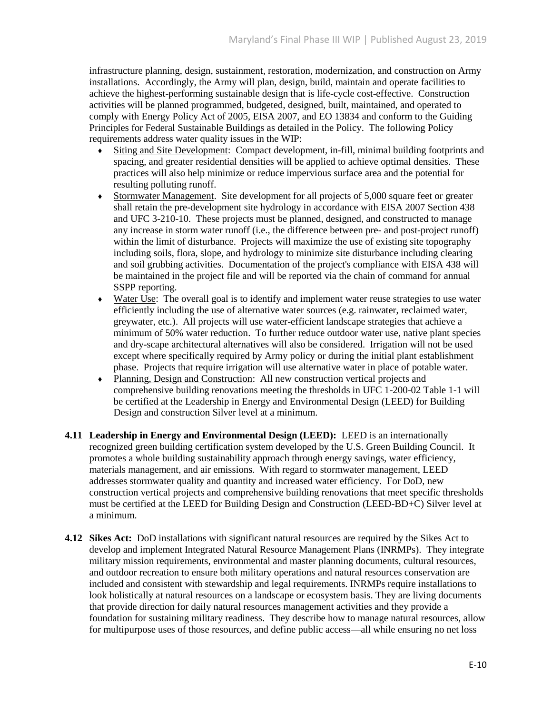infrastructure planning, design, sustainment, restoration, modernization, and construction on Army installations. Accordingly, the Army will plan, design, build, maintain and operate facilities to achieve the highest-performing sustainable design that is life-cycle cost-effective. Construction activities will be planned programmed, budgeted, designed, built, maintained, and operated to comply with Energy Policy Act of 2005, EISA 2007, and EO 13834 and conform to the Guiding Principles for Federal Sustainable Buildings as detailed in the Policy. The following Policy requirements address water quality issues in the WIP:

- Siting and Site Development: Compact development, in-fill, minimal building footprints and spacing, and greater residential densities will be applied to achieve optimal densities. These practices will also help minimize or reduce impervious surface area and the potential for resulting polluting runoff.
- ♦ Stormwater Management. Site development for all projects of 5,000 square feet or greater shall retain the pre-development site hydrology in accordance with EISA 2007 Section 438 and UFC 3-210-10. These projects must be planned, designed, and constructed to manage any increase in storm water runoff (i.e., the difference between pre- and post-project runoff) within the limit of disturbance. Projects will maximize the use of existing site topography including soils, flora, slope, and hydrology to minimize site disturbance including clearing and soil grubbing activities. Documentation of the project's compliance with EISA 438 will be maintained in the project file and will be reported via the chain of command for annual SSPP reporting.
- ♦ Water Use: The overall goal is to identify and implement water reuse strategies to use water efficiently including the use of alternative water sources (e.g. rainwater, reclaimed water, greywater, etc.). All projects will use water-efficient landscape strategies that achieve a minimum of 50% water reduction. To further reduce outdoor water use, native plant species and dry-scape architectural alternatives will also be considered. Irrigation will not be used except where specifically required by Army policy or during the initial plant establishment phase. Projects that require irrigation will use alternative water in place of potable water.
- ♦ Planning, Design and Construction: All new construction vertical projects and comprehensive building renovations meeting the thresholds in UFC 1-200-02 Table 1-1 will be certified at the Leadership in Energy and Environmental Design (LEED) for Building Design and construction Silver level at a minimum.
- **4.11 Leadership in Energy and Environmental Design (LEED):** LEED is an internationally recognized green building certification system developed by the U.S. Green Building Council. It promotes a whole building sustainability approach through energy savings, water efficiency, materials management, and air emissions. With regard to stormwater management, LEED addresses stormwater quality and quantity and increased water efficiency. For DoD, new construction vertical projects and comprehensive building renovations that meet specific thresholds must be certified at the LEED for Building Design and Construction (LEED-BD+C) Silver level at a minimum.
- **4.12 Sikes Act:** DoD installations with significant natural resources are required by the Sikes Act to develop and implement Integrated Natural Resource Management Plans (INRMPs). They integrate military mission requirements, environmental and master planning documents, cultural resources, and outdoor recreation to ensure both military operations and natural resources conservation are included and consistent with stewardship and legal requirements. INRMPs require installations to look holistically at natural resources on a landscape or ecosystem basis. They are living documents that provide direction for daily natural resources management activities and they provide a foundation for sustaining military readiness. They describe how to manage natural resources, allow for multipurpose uses of those resources, and define public access—all while ensuring no net loss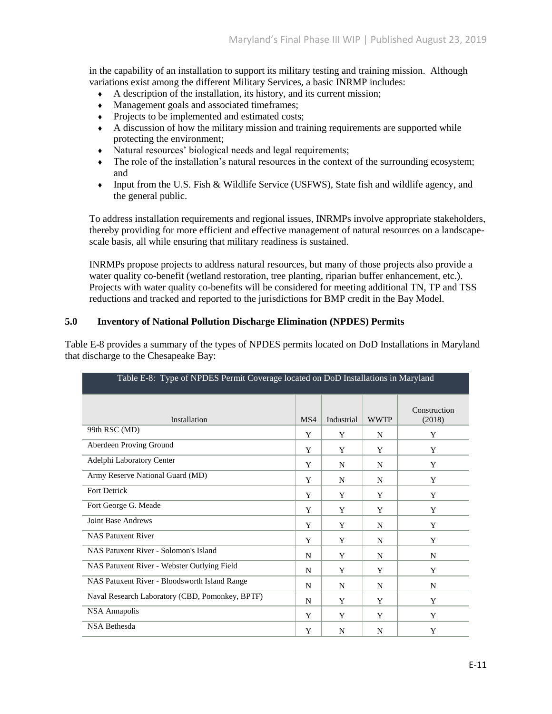in the capability of an installation to support its military testing and training mission. Although variations exist among the different Military Services, a basic INRMP includes:

- ♦ A description of the installation, its history, and its current mission;
- ♦ Management goals and associated timeframes;
- Projects to be implemented and estimated costs:
- ♦ A discussion of how the military mission and training requirements are supported while protecting the environment;
- ♦ Natural resources' biological needs and legal requirements;
- The role of the installation's natural resources in the context of the surrounding ecosystem; and
- ♦ Input from the U.S. Fish & Wildlife Service (USFWS), State fish and wildlife agency, and the general public.

To address installation requirements and regional issues, INRMPs involve appropriate stakeholders, thereby providing for more efficient and effective management of natural resources on a landscapescale basis, all while ensuring that military readiness is sustained.

INRMPs propose projects to address natural resources, but many of those projects also provide a water quality co-benefit (wetland restoration, tree planting, riparian buffer enhancement, etc.). Projects with water quality co-benefits will be considered for meeting additional TN, TP and TSS reductions and tracked and reported to the jurisdictions for BMP credit in the Bay Model.

#### **5.0 Inventory of National Pollution Discharge Elimination (NPDES) Permits**

Table E-8 provides a summary of the types of NPDES permits located on DoD Installations in Maryland that discharge to the Chesapeake Bay:

| Table E-8: Type of NPDES Permit Coverage located on DoD Installations in Maryland |     |            |             |                        |  |
|-----------------------------------------------------------------------------------|-----|------------|-------------|------------------------|--|
| Installation                                                                      | MS4 | Industrial | <b>WWTP</b> | Construction<br>(2018) |  |
| 99th RSC (MD)                                                                     | Y   | Y          | N           | Y                      |  |
| Aberdeen Proving Ground                                                           | Y   | Y          | Y           | Y                      |  |
| Adelphi Laboratory Center                                                         | Y   | N          | N           | Y                      |  |
| Army Reserve National Guard (MD)                                                  | Y   | N          | N           | Y                      |  |
| <b>Fort Detrick</b>                                                               | Y   | Y          | Y           | Y                      |  |
| Fort George G. Meade                                                              | Y   | Y          | Y           | Y                      |  |
| <b>Joint Base Andrews</b>                                                         | Y   | Y          | N           | Y                      |  |
| <b>NAS Patuxent River</b>                                                         | Y   | Y          | N           | Y                      |  |
| NAS Patuxent River - Solomon's Island                                             | N   | Y          | N           | N                      |  |
| NAS Patuxent River - Webster Outlying Field                                       | N   | Y          | Y           | Y                      |  |
| NAS Patuxent River - Bloodsworth Island Range                                     | N   | N          | N           | N                      |  |
| Naval Research Laboratory (CBD, Pomonkey, BPTF)                                   | N   | Y          | Y           | Y                      |  |
| <b>NSA Annapolis</b>                                                              | Y   | Y          | Y           | Y                      |  |
| <b>NSA Bethesda</b>                                                               | Y   | N          | N           | Y                      |  |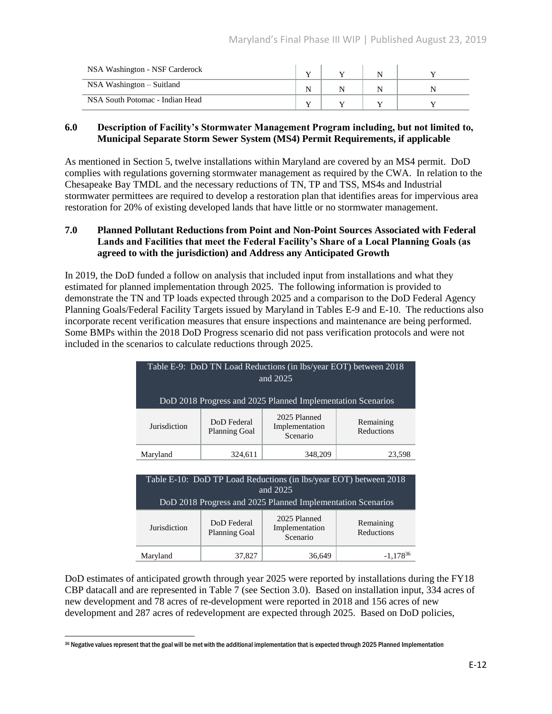| NSA Washington - NSF Carderock  |  |  |
|---------------------------------|--|--|
| NSA Washington – Suitland       |  |  |
| NSA South Potomac - Indian Head |  |  |

#### **6.0 Description of Facility's Stormwater Management Program including, but not limited to, Municipal Separate Storm Sewer System (MS4) Permit Requirements, if applicable**

As mentioned in Section 5, twelve installations within Maryland are covered by an MS4 permit. DoD complies with regulations governing stormwater management as required by the CWA. In relation to the Chesapeake Bay TMDL and the necessary reductions of TN, TP and TSS, MS4s and Industrial stormwater permittees are required to develop a restoration plan that identifies areas for impervious area restoration for 20% of existing developed lands that have little or no stormwater management.

#### **7.0 Planned Pollutant Reductions from Point and Non-Point Sources Associated with Federal Lands and Facilities that meet the Federal Facility's Share of a Local Planning Goals (as agreed to with the jurisdiction) and Address any Anticipated Growth**

In 2019, the DoD funded a follow on analysis that included input from installations and what they estimated for planned implementation through 2025. The following information is provided to demonstrate the TN and TP loads expected through 2025 and a comparison to the DoD Federal Agency Planning Goals/Federal Facility Targets issued by Maryland in Tables E-9 and E-10. The reductions also incorporate recent verification measures that ensure inspections and maintenance are being performed. Some BMPs within the 2018 DoD Progress scenario did not pass verification protocols and were not included in the scenarios to calculate reductions through 2025.

| Table E-9: DoD TN Load Reductions (in lbs/year EOT) between 2018<br>and 2025  |                                     |                                            |                         |  |
|-------------------------------------------------------------------------------|-------------------------------------|--------------------------------------------|-------------------------|--|
| DoD 2018 Progress and 2025 Planned Implementation Scenarios                   |                                     |                                            |                         |  |
| Jurisdiction                                                                  | DoD Federal<br><b>Planning Goal</b> | 2025 Planned<br>Implementation<br>Scenario | Remaining<br>Reductions |  |
| Maryland                                                                      | 324,611                             | 348,209<br>23,598                          |                         |  |
| Table E-10: DoD TP Load Reductions (in lbs/year EOT) between 2018<br>and 2025 |                                     |                                            |                         |  |

| $\mathbf{u}$ ng $\mathbf{u}$<br>DoD 2018 Progress and 2025 Planned Implementation Scenarios |                                     |                                            |                         |  |  |
|---------------------------------------------------------------------------------------------|-------------------------------------|--------------------------------------------|-------------------------|--|--|
| Jurisdiction                                                                                | DoD Federal<br><b>Planning Goal</b> | 2025 Planned<br>Implementation<br>Scenario | Remaining<br>Reductions |  |  |
| Maryland                                                                                    | 37,827                              | 36,649                                     | $-1.178^{36}$           |  |  |

DoD estimates of anticipated growth through year 2025 were reported by installations during the FY18 CBP datacall and are represented in Table 7 (see Section 3.0). Based on installation input, 334 acres of new development and 78 acres of re-development were reported in 2018 and 156 acres of new development and 287 acres of redevelopment are expected through 2025. Based on DoD policies,

l  $\rm{^{36}}$  Negative values represent that the goal will be met with the additional implementation that is expected through 2025 Planned Implementation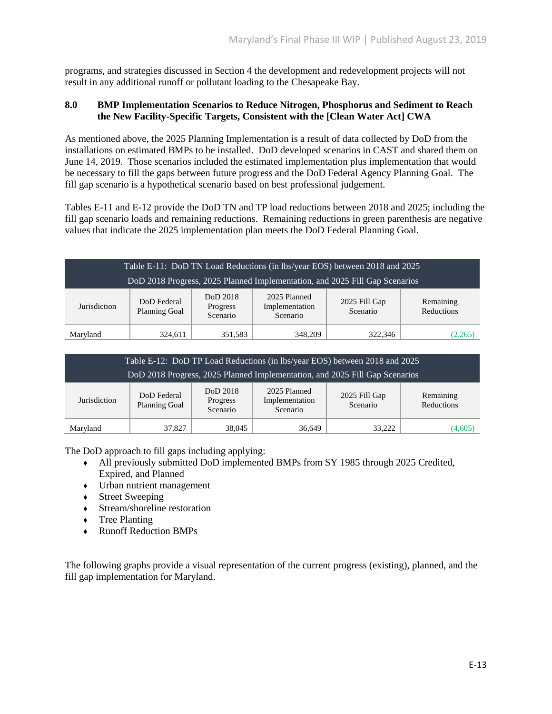programs, and strategies discussed in Section 4 the development and redevelopment projects will not result in any additional runoff or pollutant loading to the Chesapeake Bay.

#### **8.0 BMP Implementation Scenarios to Reduce Nitrogen, Phosphorus and Sediment to Reach the New Facility-Specific Targets, Consistent with the [Clean Water Act] CWA**

As mentioned above, the 2025 Planning Implementation is a result of data collected by DoD from the installations on estimated BMPs to be installed. DoD developed scenarios in CAST and shared them on June 14, 2019. Those scenarios included the estimated implementation plus implementation that would be necessary to fill the gaps between future progress and the DoD Federal Agency Planning Goal. The fill gap scenario is a hypothetical scenario based on best professional judgement.

Tables E-11 and E-12 provide the DoD TN and TP load reductions between 2018 and 2025; including the fill gap scenario loads and remaining reductions. Remaining reductions in green parenthesis are negative values that indicate the 2025 implementation plan meets the DoD Federal Planning Goal.

| Table E-11: DoD TN Load Reductions (in lbs/year EOS) between 2018 and 2025  |                              |                                  |                                            |                           |                         |
|-----------------------------------------------------------------------------|------------------------------|----------------------------------|--------------------------------------------|---------------------------|-------------------------|
| DoD 2018 Progress, 2025 Planned Implementation, and 2025 Fill Gap Scenarios |                              |                                  |                                            |                           |                         |
| Jurisdiction                                                                | DoD Federal<br>Planning Goal | DoD 2018<br>Progress<br>Scenario | 2025 Planned<br>Implementation<br>Scenario | 2025 Fill Gap<br>Scenario | Remaining<br>Reductions |
| Maryland                                                                    | 324,611                      | 351,583                          | 348,209                                    | 322,346                   | (2,265)                 |

| Table E-12: DoD TP Load Reductions (in lbs/year EOS) between 2018 and 2025  |                              |                                  |                                            |                           |                         |
|-----------------------------------------------------------------------------|------------------------------|----------------------------------|--------------------------------------------|---------------------------|-------------------------|
| DoD 2018 Progress, 2025 Planned Implementation, and 2025 Fill Gap Scenarios |                              |                                  |                                            |                           |                         |
| Jurisdiction                                                                | DoD Federal<br>Planning Goal | DoD 2018<br>Progress<br>Scenario | 2025 Planned<br>Implementation<br>Scenario | 2025 Fill Gap<br>Scenario | Remaining<br>Reductions |
| Maryland                                                                    | 37,827                       | 38,045                           | 36.649                                     | 33.222                    | (4,605)                 |

The DoD approach to fill gaps including applying:

- ♦ All previously submitted DoD implemented BMPs from SY 1985 through 2025 Credited, Expired, and Planned
- ♦ Urban nutrient management
- Street Sweeping
- ♦ Stream/shoreline restoration
- ♦ Tree Planting
- ♦ Runoff Reduction BMPs

The following graphs provide a visual representation of the current progress (existing), planned, and the fill gap implementation for Maryland.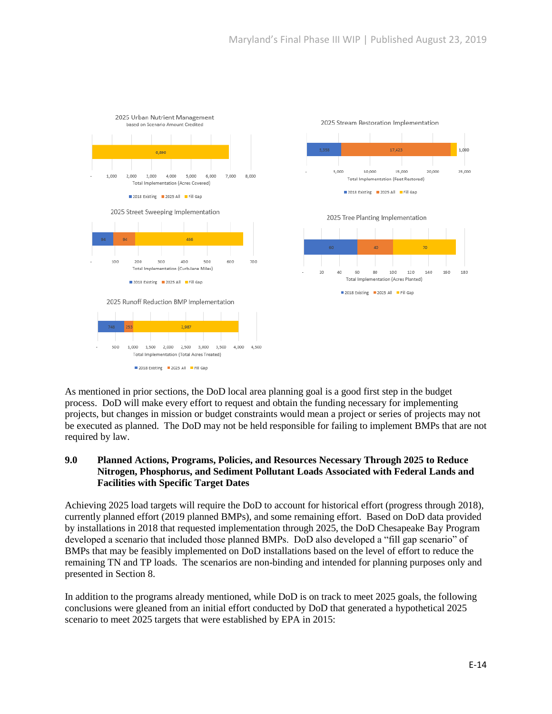

As mentioned in prior sections, the DoD local area planning goal is a good first step in the budget process. DoD will make every effort to request and obtain the funding necessary for implementing projects, but changes in mission or budget constraints would mean a project or series of projects may not be executed as planned. The DoD may not be held responsible for failing to implement BMPs that are not required by law.

#### **9.0 Planned Actions, Programs, Policies, and Resources Necessary Through 2025 to Reduce Nitrogen, Phosphorus, and Sediment Pollutant Loads Associated with Federal Lands and Facilities with Specific Target Dates**

Achieving 2025 load targets will require the DoD to account for historical effort (progress through 2018), currently planned effort (2019 planned BMPs), and some remaining effort. Based on DoD data provided by installations in 2018 that requested implementation through 2025, the DoD Chesapeake Bay Program developed a scenario that included those planned BMPs. DoD also developed a "fill gap scenario" of BMPs that may be feasibly implemented on DoD installations based on the level of effort to reduce the remaining TN and TP loads. The scenarios are non-binding and intended for planning purposes only and presented in Section 8.

In addition to the programs already mentioned, while DoD is on track to meet 2025 goals, the following conclusions were gleaned from an initial effort conducted by DoD that generated a hypothetical 2025 scenario to meet 2025 targets that were established by EPA in 2015: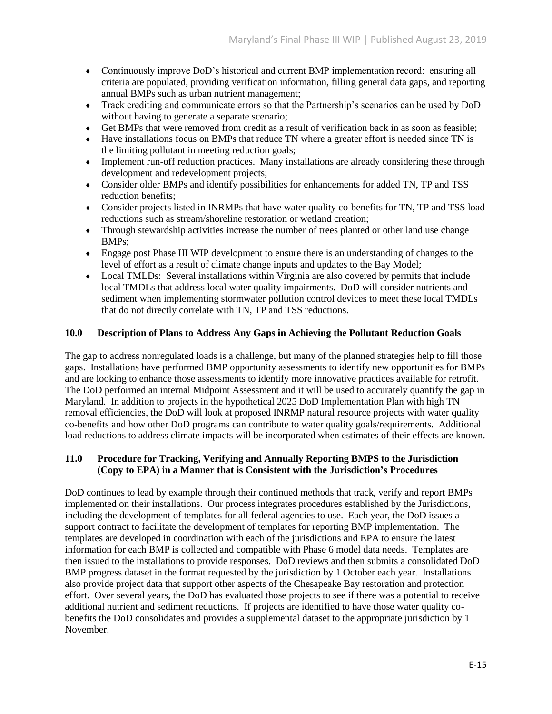- ♦ Continuously improve DoD's historical and current BMP implementation record: ensuring all criteria are populated, providing verification information, filling general data gaps, and reporting annual BMPs such as urban nutrient management;
- ♦ Track crediting and communicate errors so that the Partnership's scenarios can be used by DoD without having to generate a separate scenario;
- ♦ Get BMPs that were removed from credit as a result of verification back in as soon as feasible;
- Have installations focus on BMPs that reduce TN where a greater effort is needed since TN is the limiting pollutant in meeting reduction goals;
- ♦ Implement run-off reduction practices. Many installations are already considering these through development and redevelopment projects;
- ♦ Consider older BMPs and identify possibilities for enhancements for added TN, TP and TSS reduction benefits;
- ♦ Consider projects listed in INRMPs that have water quality co-benefits for TN, TP and TSS load reductions such as stream/shoreline restoration or wetland creation;
- ♦ Through stewardship activities increase the number of trees planted or other land use change BMPs;
- ♦ Engage post Phase III WIP development to ensure there is an understanding of changes to the level of effort as a result of climate change inputs and updates to the Bay Model;
- ♦ Local TMLDs: Several installations within Virginia are also covered by permits that include local TMDLs that address local water quality impairments. DoD will consider nutrients and sediment when implementing stormwater pollution control devices to meet these local TMDLs that do not directly correlate with TN, TP and TSS reductions.

#### **10.0 Description of Plans to Address Any Gaps in Achieving the Pollutant Reduction Goals**

The gap to address nonregulated loads is a challenge, but many of the planned strategies help to fill those gaps. Installations have performed BMP opportunity assessments to identify new opportunities for BMPs and are looking to enhance those assessments to identify more innovative practices available for retrofit. The DoD performed an internal Midpoint Assessment and it will be used to accurately quantify the gap in Maryland. In addition to projects in the hypothetical 2025 DoD Implementation Plan with high TN removal efficiencies, the DoD will look at proposed INRMP natural resource projects with water quality co-benefits and how other DoD programs can contribute to water quality goals/requirements. Additional load reductions to address climate impacts will be incorporated when estimates of their effects are known.

#### **11.0 Procedure for Tracking, Verifying and Annually Reporting BMPS to the Jurisdiction (Copy to EPA) in a Manner that is Consistent with the Jurisdiction's Procedures**

DoD continues to lead by example through their continued methods that track, verify and report BMPs implemented on their installations. Our process integrates procedures established by the Jurisdictions, including the development of templates for all federal agencies to use. Each year, the DoD issues a support contract to facilitate the development of templates for reporting BMP implementation. The templates are developed in coordination with each of the jurisdictions and EPA to ensure the latest information for each BMP is collected and compatible with Phase 6 model data needs. Templates are then issued to the installations to provide responses. DoD reviews and then submits a consolidated DoD BMP progress dataset in the format requested by the jurisdiction by 1 October each year. Installations also provide project data that support other aspects of the Chesapeake Bay restoration and protection effort. Over several years, the DoD has evaluated those projects to see if there was a potential to receive additional nutrient and sediment reductions. If projects are identified to have those water quality cobenefits the DoD consolidates and provides a supplemental dataset to the appropriate jurisdiction by 1 November.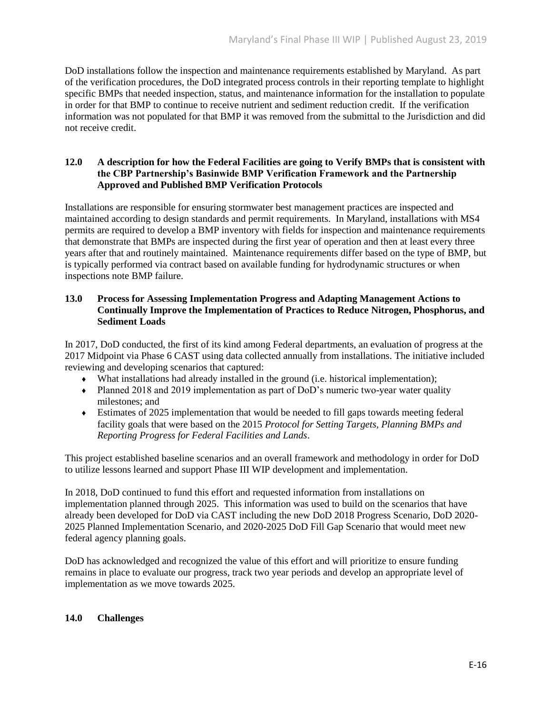DoD installations follow the inspection and maintenance requirements established by Maryland. As part of the verification procedures, the DoD integrated process controls in their reporting template to highlight specific BMPs that needed inspection, status, and maintenance information for the installation to populate in order for that BMP to continue to receive nutrient and sediment reduction credit. If the verification information was not populated for that BMP it was removed from the submittal to the Jurisdiction and did not receive credit.

#### **12.0 A description for how the Federal Facilities are going to Verify BMPs that is consistent with the CBP Partnership's Basinwide BMP Verification Framework and the Partnership Approved and Published BMP Verification Protocols**

Installations are responsible for ensuring stormwater best management practices are inspected and maintained according to design standards and permit requirements. In Maryland, installations with MS4 permits are required to develop a BMP inventory with fields for inspection and maintenance requirements that demonstrate that BMPs are inspected during the first year of operation and then at least every three years after that and routinely maintained. Maintenance requirements differ based on the type of BMP, but is typically performed via contract based on available funding for hydrodynamic structures or when inspections note BMP failure.

#### **13.0 Process for Assessing Implementation Progress and Adapting Management Actions to Continually Improve the Implementation of Practices to Reduce Nitrogen, Phosphorus, and Sediment Loads**

In 2017, DoD conducted, the first of its kind among Federal departments, an evaluation of progress at the 2017 Midpoint via Phase 6 CAST using data collected annually from installations. The initiative included reviewing and developing scenarios that captured:

- ♦ What installations had already installed in the ground (i.e. historical implementation);
- ♦ Planned 2018 and 2019 implementation as part of DoD's numeric two-year water quality milestones; and
- ♦ Estimates of 2025 implementation that would be needed to fill gaps towards meeting federal facility goals that were based on the 2015 *Protocol for Setting Targets, Planning BMPs and Reporting Progress for Federal Facilities and Lands*.

This project established baseline scenarios and an overall framework and methodology in order for DoD to utilize lessons learned and support Phase III WIP development and implementation.

In 2018, DoD continued to fund this effort and requested information from installations on implementation planned through 2025. This information was used to build on the scenarios that have already been developed for DoD via CAST including the new DoD 2018 Progress Scenario, DoD 2020- 2025 Planned Implementation Scenario, and 2020-2025 DoD Fill Gap Scenario that would meet new federal agency planning goals.

DoD has acknowledged and recognized the value of this effort and will prioritize to ensure funding remains in place to evaluate our progress, track two year periods and develop an appropriate level of implementation as we move towards 2025.

## **14.0 Challenges**